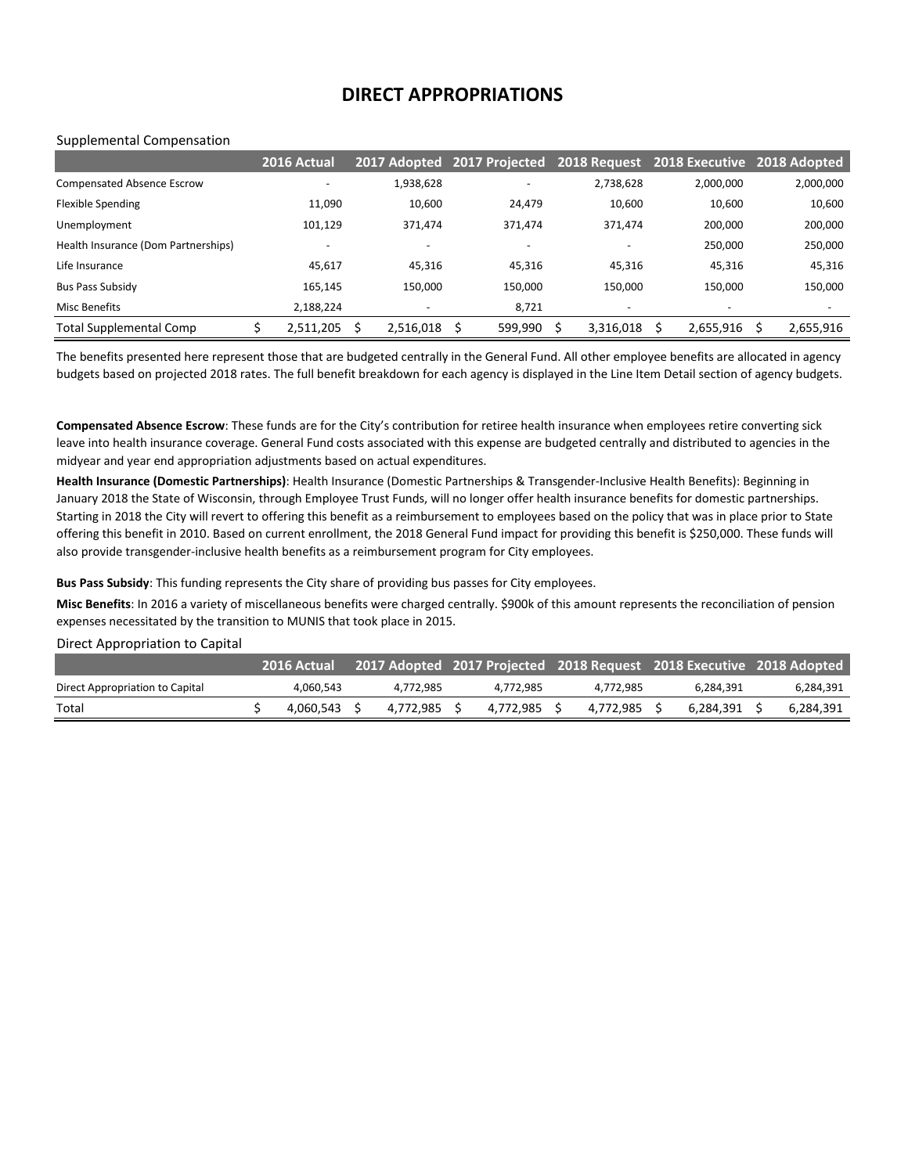## **DIRECT APPROPRIATIONS**

#### Supplemental Compensation

|                                     | 2016 Actual | 2017 Adopted 2017 Projected |                          | 2018 Request 2018 Executive 2018 Adopted |           |           |
|-------------------------------------|-------------|-----------------------------|--------------------------|------------------------------------------|-----------|-----------|
| <b>Compensated Absence Escrow</b>   |             | 1,938,628                   | $\overline{\phantom{a}}$ | 2,738,628                                | 2,000,000 | 2,000,000 |
| <b>Flexible Spending</b>            | 11,090      | 10,600                      | 24,479                   | 10,600                                   | 10,600    | 10,600    |
| Unemployment                        | 101.129     | 371.474                     | 371.474                  | 371.474                                  | 200,000   | 200,000   |
| Health Insurance (Dom Partnerships) |             |                             | $\overline{\phantom{a}}$ |                                          | 250,000   | 250,000   |
| Life Insurance                      | 45,617      | 45,316                      | 45,316                   | 45,316                                   | 45,316    | 45,316    |
| <b>Bus Pass Subsidy</b>             | 165,145     | 150.000                     | 150,000                  | 150,000                                  | 150.000   | 150,000   |
| Misc Benefits                       | 2,188,224   |                             | 8,721                    | -                                        |           |           |
| <b>Total Supplemental Comp</b>      | 2,511,205   | 2,516,018                   | 599,990                  | 3,316,018                                | 2,655,916 | 2,655,916 |

The benefits presented here represent those that are budgeted centrally in the General Fund. All other employee benefits are allocated in agency budgets based on projected 2018 rates. The full benefit breakdown for each agency is displayed in the Line Item Detail section of agency budgets.

**Compensated Absence Escrow**: These funds are for the City's contribution for retiree health insurance when employees retire converting sick leave into health insurance coverage. General Fund costs associated with this expense are budgeted centrally and distributed to agencies in the midyear and year end appropriation adjustments based on actual expenditures.

**Health Insurance (Domestic Partnerships)**: Health Insurance (Domestic Partnerships & Transgender-Inclusive Health Benefits): Beginning in January 2018 the State of Wisconsin, through Employee Trust Funds, will no longer offer health insurance benefits for domestic partnerships. Starting in 2018 the City will revert to offering this benefit as a reimbursement to employees based on the policy that was in place prior to State offering this benefit in 2010. Based on current enrollment, the 2018 General Fund impact for providing this benefit is \$250,000. These funds will also provide transgender-inclusive health benefits as a reimbursement program for City employees.

**Bus Pass Subsidy**: This funding represents the City share of providing bus passes for City employees.

**Misc Benefits**: In 2016 a variety of miscellaneous benefits were charged centrally. \$900k of this amount represents the reconciliation of pension expenses necessitated by the transition to MUNIS that took place in 2015.

#### Direct Appropriation to Capital

|                                 | <b>2016 Actual</b> |           |           | 2017 Adopted 2017 Projected 2018 Request 2018 Executive 2018 Adopted |           |           |
|---------------------------------|--------------------|-----------|-----------|----------------------------------------------------------------------|-----------|-----------|
| Direct Appropriation to Capital | 4.060.543          | 4.772.985 | 4.772.985 | 4.772.985                                                            | 6.284.391 | 6,284,391 |
| Total                           | 4.060.543          | 4.772.985 | 4.772.985 | 4.772.985                                                            | 6.284.391 | 6,284,391 |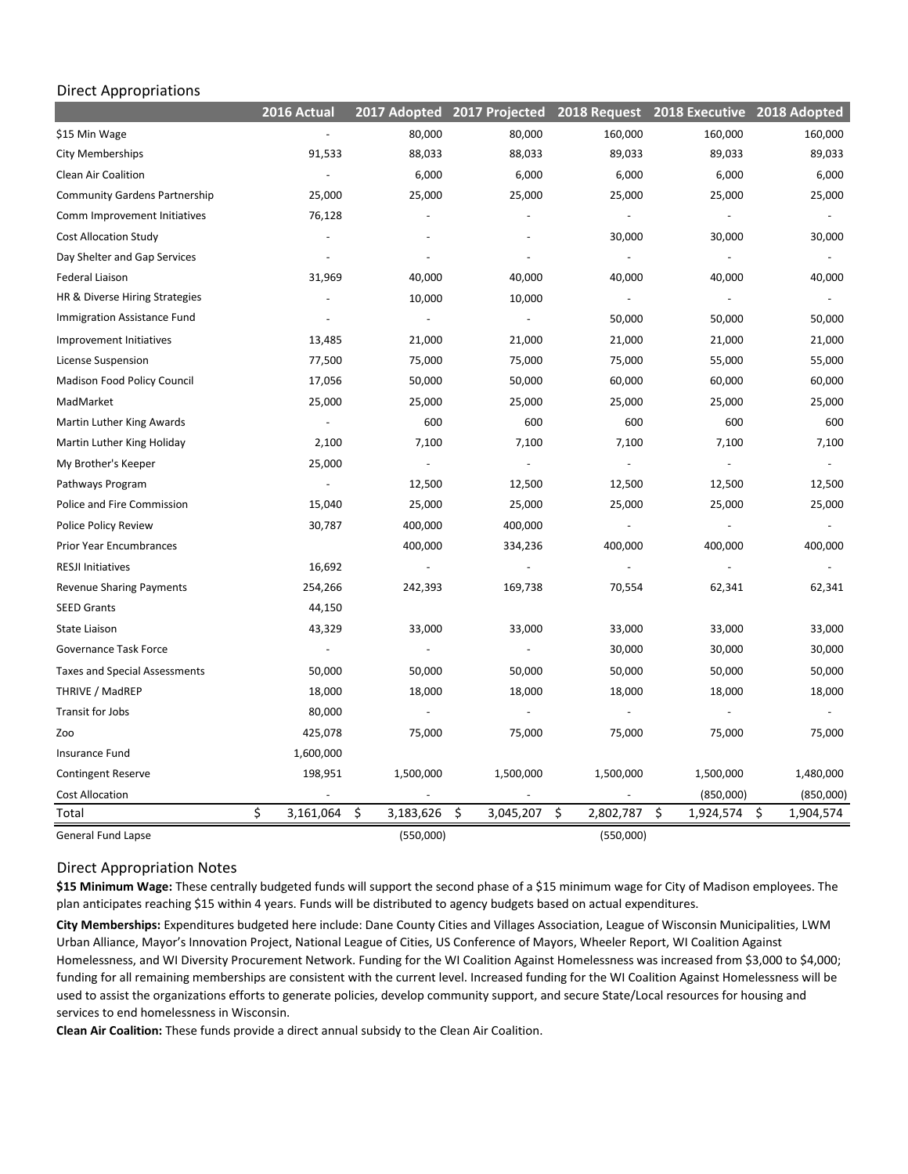## Direct Appropriations

|                                      | 2016 Actual              | 2017 Adopted             | 2017 Projected           | 2018 Request    | 2018 Executive  | 2018 Adopted     |
|--------------------------------------|--------------------------|--------------------------|--------------------------|-----------------|-----------------|------------------|
| \$15 Min Wage                        |                          | 80,000                   | 80,000                   | 160,000         | 160,000         | 160,000          |
| City Memberships                     | 91,533                   | 88,033                   | 88,033                   | 89,033          | 89,033          | 89,033           |
| Clean Air Coalition                  |                          | 6,000                    | 6,000                    | 6,000           | 6,000           | 6,000            |
| <b>Community Gardens Partnership</b> | 25,000                   | 25,000                   | 25,000                   | 25,000          | 25,000          | 25,000           |
| Comm Improvement Initiatives         | 76,128                   |                          |                          |                 |                 |                  |
| <b>Cost Allocation Study</b>         |                          |                          |                          | 30,000          | 30,000          | 30,000           |
| Day Shelter and Gap Services         | $\overline{\phantom{a}}$ |                          |                          |                 |                 |                  |
| <b>Federal Liaison</b>               | 31,969                   | 40,000                   | 40,000                   | 40,000          | 40,000          | 40,000           |
| HR & Diverse Hiring Strategies       |                          | 10,000                   | 10,000                   | $\overline{a}$  |                 |                  |
| Immigration Assistance Fund          |                          | $\overline{\phantom{a}}$ | $\overline{\phantom{a}}$ | 50,000          | 50,000          | 50,000           |
| Improvement Initiatives              | 13,485                   | 21,000                   | 21,000                   | 21,000          | 21,000          | 21,000           |
| License Suspension                   | 77,500                   | 75,000                   | 75,000                   | 75,000          | 55,000          | 55,000           |
| Madison Food Policy Council          | 17,056                   | 50,000                   | 50,000                   | 60,000          | 60,000          | 60,000           |
| MadMarket                            | 25,000                   | 25,000                   | 25,000                   | 25,000          | 25,000          | 25,000           |
| Martin Luther King Awards            | $\Box$                   | 600                      | 600                      | 600             | 600             | 600              |
| Martin Luther King Holiday           | 2,100                    | 7,100                    | 7,100                    | 7,100           | 7,100           | 7,100            |
| My Brother's Keeper                  | 25,000                   | $\Box$                   | $\blacksquare$           | ÷,              |                 |                  |
| Pathways Program                     | $\overline{\phantom{a}}$ | 12,500                   | 12,500                   | 12,500          | 12,500          | 12,500           |
| Police and Fire Commission           | 15,040                   | 25,000                   | 25,000                   | 25,000          | 25,000          | 25,000           |
| Police Policy Review                 | 30,787                   | 400,000                  | 400,000                  | $\Box$          |                 |                  |
| Prior Year Encumbrances              |                          | 400,000                  | 334,236                  | 400,000         | 400,000         | 400,000          |
| <b>RESJI Initiatives</b>             | 16,692                   | $\overline{\phantom{a}}$ | $\blacksquare$           |                 |                 |                  |
| <b>Revenue Sharing Payments</b>      | 254,266                  | 242,393                  | 169,738                  | 70,554          | 62,341          | 62,341           |
| <b>SEED Grants</b>                   | 44,150                   |                          |                          |                 |                 |                  |
| State Liaison                        | 43,329                   | 33,000                   | 33,000                   | 33,000          | 33,000          | 33,000           |
| Governance Task Force                |                          |                          |                          | 30,000          | 30,000          | 30,000           |
| <b>Taxes and Special Assessments</b> | 50,000                   | 50,000                   | 50,000                   | 50,000          | 50,000          | 50,000           |
| THRIVE / MadREP                      | 18,000                   | 18,000                   | 18,000                   | 18,000          | 18,000          | 18,000           |
| Transit for Jobs                     | 80,000                   | $\overline{\phantom{a}}$ | $\blacksquare$           |                 |                 |                  |
| Zoo                                  | 425,078                  | 75,000                   | 75,000                   | 75,000          | 75,000          | 75,000           |
| Insurance Fund                       | 1,600,000                |                          |                          |                 |                 |                  |
| <b>Contingent Reserve</b>            | 198,951                  | 1,500,000                | 1,500,000                | 1,500,000       | 1,500,000       | 1,480,000        |
| <b>Cost Allocation</b>               |                          |                          |                          |                 | (850,000)       | (850,000)        |
| Total                                | \$<br>3,161,064          | \$<br>3,183,626          | \$<br>3,045,207          | \$<br>2,802,787 | \$<br>1,924,574 | 1,904,574<br>\$. |
| <b>General Fund Lapse</b>            |                          | (550,000)                |                          | (550,000)       |                 |                  |

# Direct Appropriation Notes

**\$15 Minimum Wage:** These centrally budgeted funds will support the second phase of a \$15 minimum wage for City of Madison employees. The plan anticipates reaching \$15 within 4 years. Funds will be distributed to agency budgets based on actual expenditures.

**City Memberships:** Expenditures budgeted here include: Dane County Cities and Villages Association, League of Wisconsin Municipalities, LWM Urban Alliance, Mayor's Innovation Project, National League of Cities, US Conference of Mayors, Wheeler Report, WI Coalition Against Homelessness, and WI Diversity Procurement Network. Funding for the WI Coalition Against Homelessness was increased from \$3,000 to \$4,000; funding for all remaining memberships are consistent with the current level. Increased funding for the WI Coalition Against Homelessness will be used to assist the organizations efforts to generate policies, develop community support, and secure State/Local resources for housing and services to end homelessness in Wisconsin.

**Clean Air Coalition:** These funds provide a direct annual subsidy to the Clean Air Coalition.